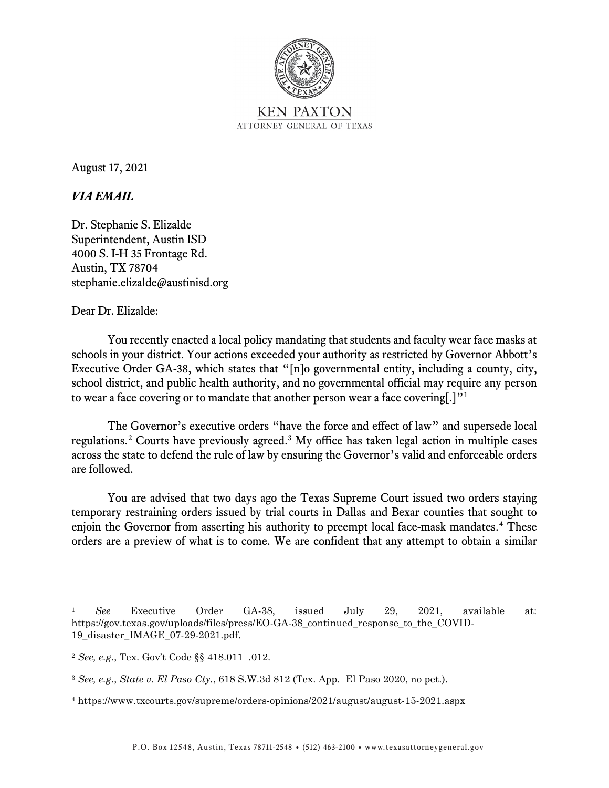

August 17, 2021

## *VIA EMAIL*

Dr. Stephanie S. Elizalde Superintendent, Austin ISD 4000 S. I-H 35 Frontage Rd. Austin, TX 78704 stephanie.elizalde@austinisd.org

## Dear Dr. Elizalde:

You recently enacted a local policy mandating that students and faculty wear face masks at schools in your district. Your actions exceeded your authority as restricted by Governor Abbott's Executive Order GA-38, which states that "[n]o governmental entity, including a county, city, school district, and public health authority, and no governmental official may require any person to wear a face covering or to mandate that another person wear a face covering[.]"[1](#page-0-0)

The Governor's executive orders "have the force and effect of law" and supersede local regulations.[2](#page-0-1) Courts have previously agreed.[3](#page-0-2) My office has taken legal action in multiple cases across the state to defend the rule of law by ensuring the Governor's valid and enforceable orders are followed.

You are advised that two days ago the Texas Supreme Court issued two orders staying temporary restraining orders issued by trial courts in Dallas and Bexar counties that sought to enjoin the Governor from asserting his authority to preempt local face-mask mandates. [4](#page-0-3) These orders are a preview of what is to come. We are confident that any attempt to obtain a similar

<span id="page-0-0"></span><sup>1</sup> *See* Executive Order GA-38, issued July 29, 2021, available at: https://gov.texas.gov/uploads/files/press/EO-GA-38\_continued\_response\_to\_the\_COVID-19\_disaster\_IMAGE\_07-29-2021.pdf.

<span id="page-0-1"></span><sup>2</sup> *See, e.g.*, Tex. Gov't Code §§ 418.011–.012.

<span id="page-0-2"></span><sup>3</sup> *See, e.g.*, *State v. El Paso Cty.*, 618 S.W.3d 812 (Tex. App.–El Paso 2020, no pet.).

<span id="page-0-3"></span><sup>4</sup> https://www.txcourts.gov/supreme/orders-opinions/2021/august/august-15-2021.aspx